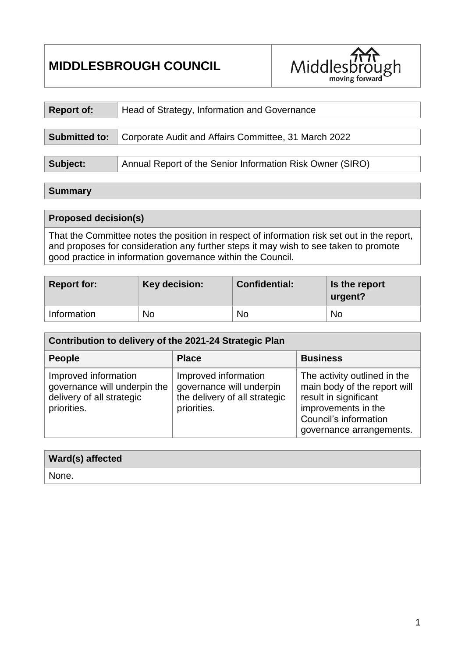# **MIDDLESBROUGH COUNCIL**



| <b>Report of:</b>                                                            | Head of Strategy, Information and Governance              |  |  |  |  |
|------------------------------------------------------------------------------|-----------------------------------------------------------|--|--|--|--|
|                                                                              |                                                           |  |  |  |  |
| Corporate Audit and Affairs Committee, 31 March 2022<br><b>Submitted to:</b> |                                                           |  |  |  |  |
|                                                                              |                                                           |  |  |  |  |
| Subject:                                                                     | Annual Report of the Senior Information Risk Owner (SIRO) |  |  |  |  |

#### **Summary**

### **Proposed decision(s)**

That the Committee notes the position in respect of information risk set out in the report, and proposes for consideration any further steps it may wish to see taken to promote good practice in information governance within the Council.

| <b>Report for:</b> | Key decision: | <b>Confidential:</b> | Is the report<br>urgent? |
|--------------------|---------------|----------------------|--------------------------|
| Information        | <b>No</b>     | No                   | <b>No</b>                |

| Contribution to delivery of the 2021-24 Strategic Plan                                           |                                                                                                  |                                                                                                                                                                   |  |  |  |  |
|--------------------------------------------------------------------------------------------------|--------------------------------------------------------------------------------------------------|-------------------------------------------------------------------------------------------------------------------------------------------------------------------|--|--|--|--|
| <b>People</b>                                                                                    | <b>Place</b>                                                                                     | <b>Business</b>                                                                                                                                                   |  |  |  |  |
| Improved information<br>governance will underpin the<br>delivery of all strategic<br>priorities. | Improved information<br>governance will underpin<br>the delivery of all strategic<br>priorities. | The activity outlined in the<br>main body of the report will<br>result in significant<br>improvements in the<br>Council's information<br>governance arrangements. |  |  |  |  |

| <b>Ward(s) affected</b> |  |
|-------------------------|--|
| ' None.                 |  |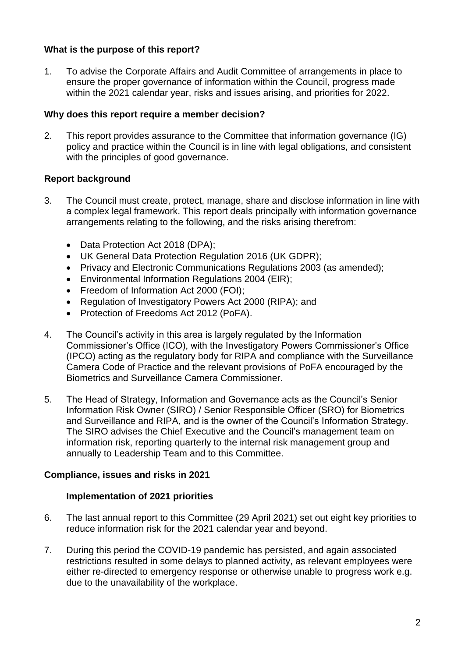### **What is the purpose of this report?**

1. To advise the Corporate Affairs and Audit Committee of arrangements in place to ensure the proper governance of information within the Council, progress made within the 2021 calendar year, risks and issues arising, and priorities for 2022.

#### **Why does this report require a member decision?**

2. This report provides assurance to the Committee that information governance (IG) policy and practice within the Council is in line with legal obligations, and consistent with the principles of good governance.

### **Report background**

- 3. The Council must create, protect, manage, share and disclose information in line with a complex legal framework. This report deals principally with information governance arrangements relating to the following, and the risks arising therefrom:
	- Data Protection Act 2018 (DPA);
	- UK General Data Protection Regulation 2016 (UK GDPR);
	- Privacy and Electronic Communications Regulations 2003 (as amended);
	- Environmental Information Regulations 2004 (EIR);
	- Freedom of Information Act 2000 (FOI);
	- Regulation of Investigatory Powers Act 2000 (RIPA); and
	- Protection of Freedoms Act 2012 (PoFA).
- 4. The Council's activity in this area is largely regulated by the Information Commissioner's Office (ICO), with the Investigatory Powers Commissioner's Office (IPCO) acting as the regulatory body for RIPA and compliance with the Surveillance Camera Code of Practice and the relevant provisions of PoFA encouraged by the Biometrics and Surveillance Camera Commissioner.
- 5. The Head of Strategy, Information and Governance acts as the Council's Senior Information Risk Owner (SIRO) / Senior Responsible Officer (SRO) for Biometrics and Surveillance and RIPA, and is the owner of the Council's Information Strategy. The SIRO advises the Chief Executive and the Council's management team on information risk, reporting quarterly to the internal risk management group and annually to Leadership Team and to this Committee.

### **Compliance, issues and risks in 2021**

### **Implementation of 2021 priorities**

- 6. The last annual report to this Committee (29 April 2021) set out eight key priorities to reduce information risk for the 2021 calendar year and beyond.
- 7. During this period the COVID-19 pandemic has persisted, and again associated restrictions resulted in some delays to planned activity, as relevant employees were either re-directed to emergency response or otherwise unable to progress work e.g. due to the unavailability of the workplace.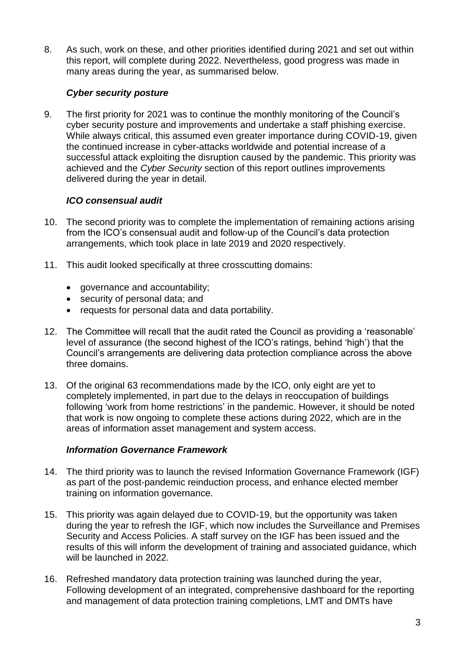8. As such, work on these, and other priorities identified during 2021 and set out within this report, will complete during 2022. Nevertheless, good progress was made in many areas during the year, as summarised below.

### *Cyber security posture*

9. The first priority for 2021 was to continue the monthly monitoring of the Council's cyber security posture and improvements and undertake a staff phishing exercise. While always critical, this assumed even greater importance during COVID-19, given the continued increase in cyber-attacks worldwide and potential increase of a successful attack exploiting the disruption caused by the pandemic. This priority was achieved and the *Cyber Security* section of this report outlines improvements delivered during the year in detail.

### *ICO consensual audit*

- 10. The second priority was to complete the implementation of remaining actions arising from the ICO's consensual audit and follow-up of the Council's data protection arrangements, which took place in late 2019 and 2020 respectively.
- 11. This audit looked specifically at three crosscutting domains:
	- governance and accountability;
	- security of personal data; and
	- requests for personal data and data portability.
- 12. The Committee will recall that the audit rated the Council as providing a 'reasonable' level of assurance (the second highest of the ICO's ratings, behind 'high') that the Council's arrangements are delivering data protection compliance across the above three domains.
- 13. Of the original 63 recommendations made by the ICO, only eight are yet to completely implemented, in part due to the delays in reoccupation of buildings following 'work from home restrictions' in the pandemic. However, it should be noted that work is now ongoing to complete these actions during 2022, which are in the areas of information asset management and system access.

### *Information Governance Framework*

- 14. The third priority was to launch the revised Information Governance Framework (IGF) as part of the post-pandemic reinduction process, and enhance elected member training on information governance.
- 15. This priority was again delayed due to COVID-19, but the opportunity was taken during the year to refresh the IGF, which now includes the Surveillance and Premises Security and Access Policies. A staff survey on the IGF has been issued and the results of this will inform the development of training and associated guidance, which will be launched in 2022.
- 16. Refreshed mandatory data protection training was launched during the year, Following development of an integrated, comprehensive dashboard for the reporting and management of data protection training completions, LMT and DMTs have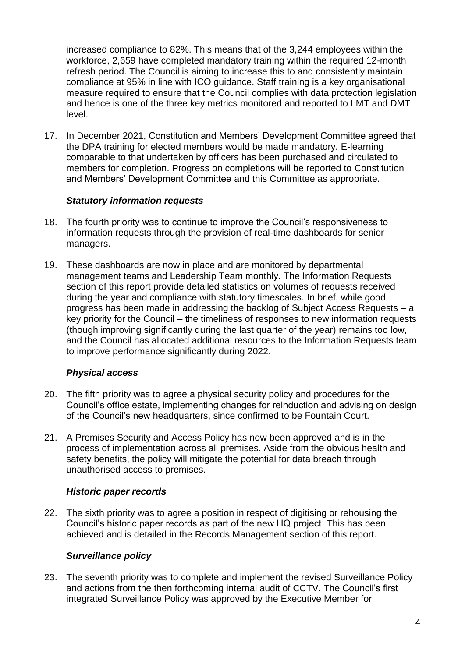increased compliance to 82%. This means that of the 3,244 employees within the workforce, 2,659 have completed mandatory training within the required 12-month refresh period. The Council is aiming to increase this to and consistently maintain compliance at 95% in line with ICO guidance. Staff training is a key organisational measure required to ensure that the Council complies with data protection legislation and hence is one of the three key metrics monitored and reported to LMT and DMT level.

17. In December 2021, Constitution and Members' Development Committee agreed that the DPA training for elected members would be made mandatory. E-learning comparable to that undertaken by officers has been purchased and circulated to members for completion. Progress on completions will be reported to Constitution and Members' Development Committee and this Committee as appropriate.

#### *Statutory information requests*

- 18. The fourth priority was to continue to improve the Council's responsiveness to information requests through the provision of real-time dashboards for senior managers.
- 19. These dashboards are now in place and are monitored by departmental management teams and Leadership Team monthly. The Information Requests section of this report provide detailed statistics on volumes of requests received during the year and compliance with statutory timescales. In brief, while good progress has been made in addressing the backlog of Subject Access Requests – a key priority for the Council – the timeliness of responses to new information requests (though improving significantly during the last quarter of the year) remains too low, and the Council has allocated additional resources to the Information Requests team to improve performance significantly during 2022.

### *Physical access*

- 20. The fifth priority was to agree a physical security policy and procedures for the Council's office estate, implementing changes for reinduction and advising on design of the Council's new headquarters, since confirmed to be Fountain Court.
- 21. A Premises Security and Access Policy has now been approved and is in the process of implementation across all premises. Aside from the obvious health and safety benefits, the policy will mitigate the potential for data breach through unauthorised access to premises.

#### *Historic paper records*

22. The sixth priority was to agree a position in respect of digitising or rehousing the Council's historic paper records as part of the new HQ project. This has been achieved and is detailed in the Records Management section of this report.

### *Surveillance policy*

23. The seventh priority was to complete and implement the revised Surveillance Policy and actions from the then forthcoming internal audit of CCTV. The Council's first integrated Surveillance Policy was approved by the Executive Member for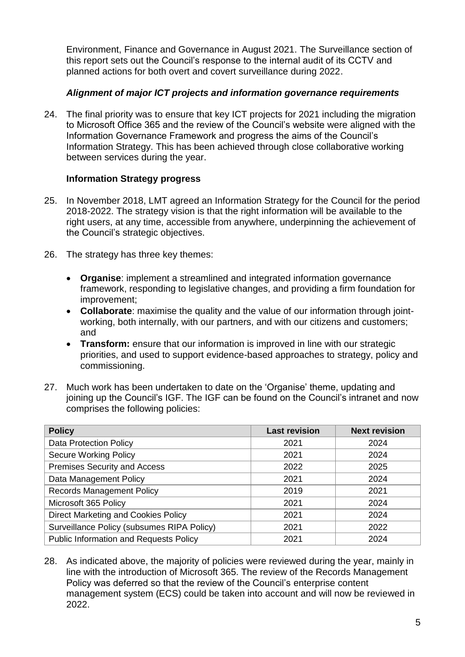Environment, Finance and Governance in August 2021. The Surveillance section of this report sets out the Council's response to the internal audit of its CCTV and planned actions for both overt and covert surveillance during 2022.

### *Alignment of major ICT projects and information governance requirements*

24. The final priority was to ensure that key ICT projects for 2021 including the migration to Microsoft Office 365 and the review of the Council's website were aligned with the Information Governance Framework and progress the aims of the Council's Information Strategy. This has been achieved through close collaborative working between services during the year.

#### **Information Strategy progress**

- 25. In November 2018, LMT agreed an Information Strategy for the Council for the period 2018-2022. The strategy vision is that the right information will be available to the right users, at any time, accessible from anywhere, underpinning the achievement of the Council's strategic objectives.
- 26. The strategy has three key themes:
	- **Organise**: implement a streamlined and integrated information governance framework, responding to legislative changes, and providing a firm foundation for improvement;
	- **Collaborate**: maximise the quality and the value of our information through jointworking, both internally, with our partners, and with our citizens and customers; and
	- **Transform:** ensure that our information is improved in line with our strategic priorities, and used to support evidence-based approaches to strategy, policy and commissioning.
- 27. Much work has been undertaken to date on the 'Organise' theme, updating and joining up the Council's IGF. The IGF can be found on the Council's intranet and now comprises the following policies:

| <b>Policy</b>                                 | <b>Last revision</b> | <b>Next revision</b> |
|-----------------------------------------------|----------------------|----------------------|
| <b>Data Protection Policy</b>                 | 2021                 | 2024                 |
| <b>Secure Working Policy</b>                  | 2021                 | 2024                 |
| Premises Security and Access                  | 2022                 | 2025                 |
| Data Management Policy                        | 2021                 | 2024                 |
| <b>Records Management Policy</b>              | 2019                 | 2021                 |
| Microsoft 365 Policy                          | 2021                 | 2024                 |
| <b>Direct Marketing and Cookies Policy</b>    | 2021                 | 2024                 |
| Surveillance Policy (subsumes RIPA Policy)    | 2021                 | 2022                 |
| <b>Public Information and Requests Policy</b> | 2021                 | 2024                 |

28. As indicated above, the majority of policies were reviewed during the year, mainly in line with the introduction of Microsoft 365. The review of the Records Management Policy was deferred so that the review of the Council's enterprise content management system (ECS) could be taken into account and will now be reviewed in 2022.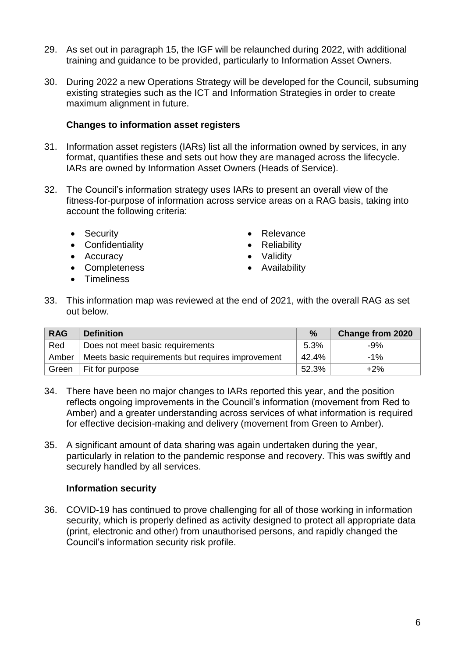- 29. As set out in paragraph 15, the IGF will be relaunched during 2022, with additional training and guidance to be provided, particularly to Information Asset Owners.
- 30. During 2022 a new Operations Strategy will be developed for the Council, subsuming existing strategies such as the ICT and Information Strategies in order to create maximum alignment in future.

#### **Changes to information asset registers**

- 31. Information asset registers (IARs) list all the information owned by services, in any format, quantifies these and sets out how they are managed across the lifecycle. IARs are owned by Information Asset Owners (Heads of Service).
- 32. The Council's information strategy uses IARs to present an overall view of the fitness-for-purpose of information across service areas on a RAG basis, taking into account the following criteria:
	- Security
	- Confidentiality
	- Accuracy
	- Completeness
	- **•** Timeliness
- Relevance
- Reliability
- Validity
- Availability
- 33. This information map was reviewed at the end of 2021, with the overall RAG as set out below.

| <b>RAG</b> | <b>Definition</b>                                 | $\%$  | <b>Change from 2020</b> |
|------------|---------------------------------------------------|-------|-------------------------|
| Red        | Does not meet basic requirements                  | 5.3%  | $-9%$                   |
| Amber      | Meets basic requirements but requires improvement | 42.4% | $-1\%$                  |
| Green      | Fit for purpose                                   | 52.3% | $+2\%$                  |

- 34. There have been no major changes to IARs reported this year, and the position reflects ongoing improvements in the Council's information (movement from Red to Amber) and a greater understanding across services of what information is required for effective decision-making and delivery (movement from Green to Amber).
- 35. A significant amount of data sharing was again undertaken during the year, particularly in relation to the pandemic response and recovery. This was swiftly and securely handled by all services.

### **Information security**

36. COVID-19 has continued to prove challenging for all of those working in information security, which is properly defined as activity designed to protect all appropriate data (print, electronic and other) from unauthorised persons, and rapidly changed the Council's information security risk profile.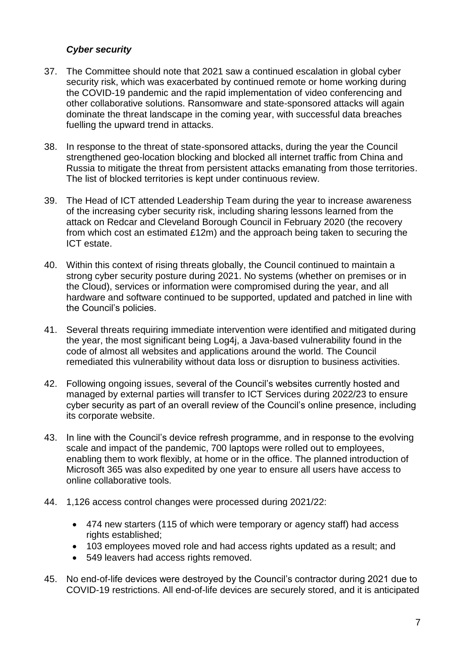### *Cyber security*

- 37. The Committee should note that 2021 saw a continued escalation in global cyber security risk, which was exacerbated by continued remote or home working during the COVID-19 pandemic and the rapid implementation of video conferencing and other collaborative solutions. Ransomware and state-sponsored attacks will again dominate the threat landscape in the coming year, with successful data breaches fuelling the upward trend in attacks.
- 38. In response to the threat of state-sponsored attacks, during the year the Council strengthened geo-location blocking and blocked all internet traffic from China and Russia to mitigate the threat from persistent attacks emanating from those territories. The list of blocked territories is kept under continuous review.
- 39. The Head of ICT attended Leadership Team during the year to increase awareness of the increasing cyber security risk, including sharing lessons learned from the attack on Redcar and Cleveland Borough Council in February 2020 (the recovery from which cost an estimated £12m) and the approach being taken to securing the ICT estate.
- 40. Within this context of rising threats globally, the Council continued to maintain a strong cyber security posture during 2021. No systems (whether on premises or in the Cloud), services or information were compromised during the year, and all hardware and software continued to be supported, updated and patched in line with the Council's policies.
- 41. Several threats requiring immediate intervention were identified and mitigated during the year, the most significant being Log4j, a Java-based vulnerability found in the code of almost all websites and applications around the world. The Council remediated this vulnerability without data loss or disruption to business activities.
- 42. Following ongoing issues, several of the Council's websites currently hosted and managed by external parties will transfer to ICT Services during 2022/23 to ensure cyber security as part of an overall review of the Council's online presence, including its corporate website.
- 43. In line with the Council's device refresh programme, and in response to the evolving scale and impact of the pandemic, 700 laptops were rolled out to employees, enabling them to work flexibly, at home or in the office. The planned introduction of Microsoft 365 was also expedited by one year to ensure all users have access to online collaborative tools.
- 44. 1,126 access control changes were processed during 2021/22:
	- 474 new starters (115 of which were temporary or agency staff) had access rights established;
	- 103 employees moved role and had access rights updated as a result; and
	- 549 leavers had access rights removed.
- 45. No end-of-life devices were destroyed by the Council's contractor during 2021 due to COVID-19 restrictions. All end-of-life devices are securely stored, and it is anticipated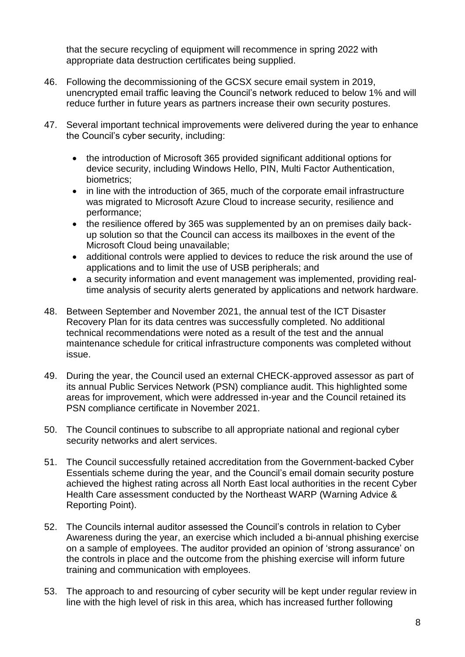that the secure recycling of equipment will recommence in spring 2022 with appropriate data destruction certificates being supplied.

- 46. Following the decommissioning of the GCSX secure email system in 2019, unencrypted email traffic leaving the Council's network reduced to below 1% and will reduce further in future years as partners increase their own security postures.
- 47. Several important technical improvements were delivered during the year to enhance the Council's cyber security, including:
	- the introduction of Microsoft 365 provided significant additional options for device security, including Windows Hello, PIN, Multi Factor Authentication, biometrics;
	- in line with the introduction of 365, much of the corporate email infrastructure was migrated to Microsoft Azure Cloud to increase security, resilience and performance;
	- the resilience offered by 365 was supplemented by an on premises daily backup solution so that the Council can access its mailboxes in the event of the Microsoft Cloud being unavailable;
	- additional controls were applied to devices to reduce the risk around the use of applications and to limit the use of USB peripherals; and
	- a security information and event management was implemented, providing realtime analysis of security alerts generated by applications and network hardware.
- 48. Between September and November 2021, the annual test of the ICT Disaster Recovery Plan for its data centres was successfully completed. No additional technical recommendations were noted as a result of the test and the annual maintenance schedule for critical infrastructure components was completed without issue.
- 49. During the year, the Council used an external CHECK-approved assessor as part of its annual Public Services Network (PSN) compliance audit. This highlighted some areas for improvement, which were addressed in-year and the Council retained its PSN compliance certificate in November 2021.
- 50. The Council continues to subscribe to all appropriate national and regional cyber security networks and alert services.
- 51. The Council successfully retained accreditation from the Government-backed Cyber Essentials scheme during the year, and the Council's email domain security posture achieved the highest rating across all North East local authorities in the recent Cyber Health Care assessment conducted by the Northeast WARP (Warning Advice & Reporting Point).
- 52. The Councils internal auditor assessed the Council's controls in relation to Cyber Awareness during the year, an exercise which included a bi-annual phishing exercise on a sample of employees. The auditor provided an opinion of 'strong assurance' on the controls in place and the outcome from the phishing exercise will inform future training and communication with employees.
- 53. The approach to and resourcing of cyber security will be kept under regular review in line with the high level of risk in this area, which has increased further following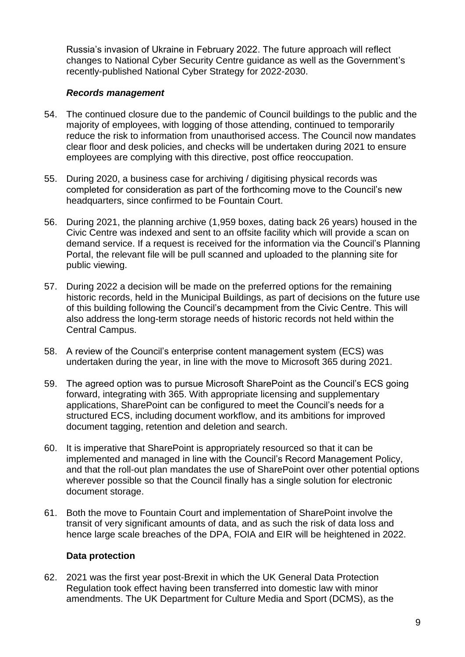Russia's invasion of Ukraine in February 2022. The future approach will reflect changes to National Cyber Security Centre guidance as well as the Government's recently-published National Cyber Strategy for 2022-2030.

#### *Records management*

- 54. The continued closure due to the pandemic of Council buildings to the public and the majority of employees, with logging of those attending, continued to temporarily reduce the risk to information from unauthorised access. The Council now mandates clear floor and desk policies, and checks will be undertaken during 2021 to ensure employees are complying with this directive, post office reoccupation.
- 55. During 2020, a business case for archiving / digitising physical records was completed for consideration as part of the forthcoming move to the Council's new headquarters, since confirmed to be Fountain Court.
- 56. During 2021, the planning archive (1,959 boxes, dating back 26 years) housed in the Civic Centre was indexed and sent to an offsite facility which will provide a scan on demand service. If a request is received for the information via the Council's Planning Portal, the relevant file will be pull scanned and uploaded to the planning site for public viewing.
- 57. During 2022 a decision will be made on the preferred options for the remaining historic records, held in the Municipal Buildings, as part of decisions on the future use of this building following the Council's decampment from the Civic Centre. This will also address the long-term storage needs of historic records not held within the Central Campus.
- 58. A review of the Council's enterprise content management system (ECS) was undertaken during the year, in line with the move to Microsoft 365 during 2021.
- 59. The agreed option was to pursue Microsoft SharePoint as the Council's ECS going forward, integrating with 365. With appropriate licensing and supplementary applications, SharePoint can be configured to meet the Council's needs for a structured ECS, including document workflow, and its ambitions for improved document tagging, retention and deletion and search.
- 60. It is imperative that SharePoint is appropriately resourced so that it can be implemented and managed in line with the Council's Record Management Policy, and that the roll-out plan mandates the use of SharePoint over other potential options wherever possible so that the Council finally has a single solution for electronic document storage.
- 61. Both the move to Fountain Court and implementation of SharePoint involve the transit of very significant amounts of data, and as such the risk of data loss and hence large scale breaches of the DPA, FOIA and EIR will be heightened in 2022.

#### **Data protection**

62. 2021 was the first year post-Brexit in which the UK General Data Protection Regulation took effect having been transferred into domestic law with minor amendments. The UK Department for Culture Media and Sport (DCMS), as the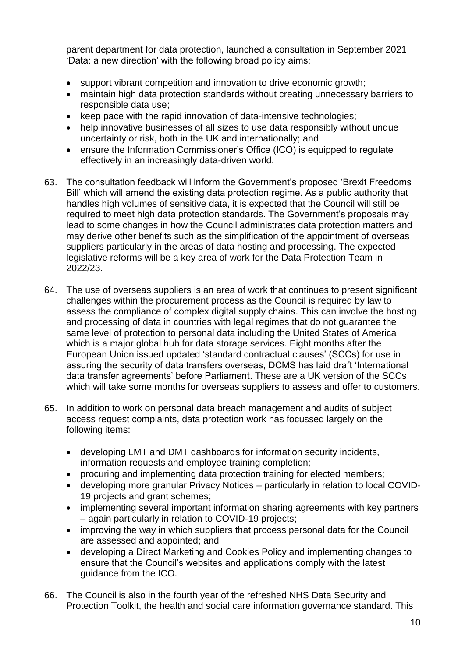parent department for data protection, launched a consultation in September 2021 'Data: a new direction' with the following broad policy aims:

- support vibrant competition and innovation to drive economic growth;
- maintain high data protection standards without creating unnecessary barriers to responsible data use;
- keep pace with the rapid innovation of data-intensive technologies:
- help innovative businesses of all sizes to use data responsibly without undue uncertainty or risk, both in the UK and internationally; and
- ensure the Information Commissioner's Office (ICO) is equipped to regulate effectively in an increasingly data-driven world.
- 63. The consultation feedback will inform the Government's proposed 'Brexit Freedoms Bill' which will amend the existing data protection regime. As a public authority that handles high volumes of sensitive data, it is expected that the Council will still be required to meet high data protection standards. The Government's proposals may lead to some changes in how the Council administrates data protection matters and may derive other benefits such as the simplification of the appointment of overseas suppliers particularly in the areas of data hosting and processing. The expected legislative reforms will be a key area of work for the Data Protection Team in 2022/23.
- 64. The use of overseas suppliers is an area of work that continues to present significant challenges within the procurement process as the Council is required by law to assess the compliance of complex digital supply chains. This can involve the hosting and processing of data in countries with legal regimes that do not guarantee the same level of protection to personal data including the United States of America which is a major global hub for data storage services. Eight months after the European Union issued updated 'standard contractual clauses' (SCCs) for use in assuring the security of data transfers overseas, DCMS has laid draft 'International data transfer agreements' before Parliament. These are a UK version of the SCCs which will take some months for overseas suppliers to assess and offer to customers.
- 65. In addition to work on personal data breach management and audits of subject access request complaints, data protection work has focussed largely on the following items:
	- developing LMT and DMT dashboards for information security incidents, information requests and employee training completion;
	- procuring and implementing data protection training for elected members;
	- developing more granular Privacy Notices particularly in relation to local COVID-19 projects and grant schemes;
	- implementing several important information sharing agreements with key partners – again particularly in relation to COVID-19 projects;
	- improving the way in which suppliers that process personal data for the Council are assessed and appointed; and
	- developing a Direct Marketing and Cookies Policy and implementing changes to ensure that the Council's websites and applications comply with the latest guidance from the ICO.
- 66. The Council is also in the fourth year of the refreshed NHS Data Security and Protection Toolkit, the health and social care information governance standard. This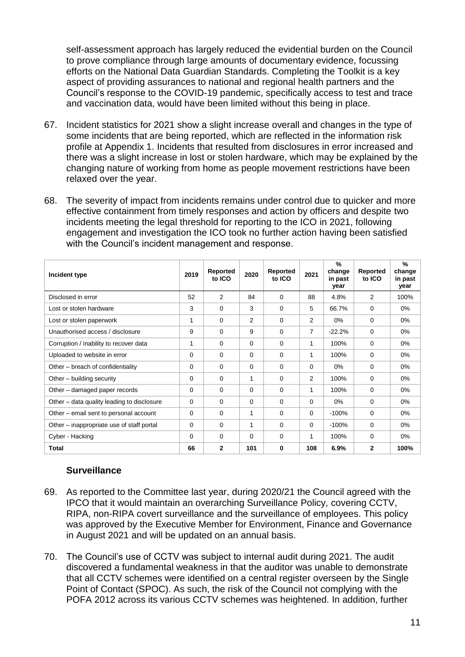self-assessment approach has largely reduced the evidential burden on the Council to prove compliance through large amounts of documentary evidence, focussing efforts on the National Data Guardian Standards. Completing the Toolkit is a key aspect of providing assurances to national and regional health partners and the Council's response to the COVID-19 pandemic, specifically access to test and trace and vaccination data, would have been limited without this being in place.

- 67. Incident statistics for 2021 show a slight increase overall and changes in the type of some incidents that are being reported, which are reflected in the information risk profile at Appendix 1. Incidents that resulted from disclosures in error increased and there was a slight increase in lost or stolen hardware, which may be explained by the changing nature of working from home as people movement restrictions have been relaxed over the year.
- 68. The severity of impact from incidents remains under control due to quicker and more effective containment from timely responses and action by officers and despite two incidents meeting the legal threshold for reporting to the ICO in 2021, following engagement and investigation the ICO took no further action having been satisfied with the Council's incident management and response.

| Incident type                              | 2019     | Reported<br>to ICO | 2020           | Reported<br>to ICO | 2021 | $\frac{9}{6}$<br>change<br>in past<br>year | Reported<br>to ICO | %<br>change<br>in past<br>year |
|--------------------------------------------|----------|--------------------|----------------|--------------------|------|--------------------------------------------|--------------------|--------------------------------|
| Disclosed in error                         | 52       | 2                  | 84             | $\Omega$           | 88   | 4.8%                                       | 2                  | 100%                           |
| Lost or stolen hardware                    | 3        | $\Omega$           | 3              | $\Omega$           | 5    | 66.7%                                      | $\Omega$           | 0%                             |
| Lost or stolen paperwork                   | 1        | $\Omega$           | $\overline{2}$ | $\Omega$           | 2    | 0%                                         | 0                  | 0%                             |
| Unauthorised access / disclosure           | 9        | $\Omega$           | 9              | $\Omega$           | 7    | $-22.2%$                                   | $\Omega$           | $0\%$                          |
| Corruption / inability to recover data     | 1        | $\Omega$           | 0              | 0                  | 1    | 100%                                       | $\Omega$           | 0%                             |
| Uploaded to website in error               | $\Omega$ | $\Omega$           | 0              | $\Omega$           | 1    | 100%                                       | 0                  | $0\%$                          |
| Other – breach of confidentiality          | $\Omega$ | $\Omega$           | 0              | $\Omega$           | 0    | $0\%$                                      | $\Omega$           | 0%                             |
| Other – building security                  | $\Omega$ | 0                  | 1              | 0                  | 2    | 100%                                       | 0                  | 0%                             |
| Other – damaged paper records              | $\Omega$ | $\Omega$           | 0              | $\Omega$           | 1    | 100%                                       | $\Omega$           | $0\%$                          |
| Other – data quality leading to disclosure | $\Omega$ | 0                  | 0              | 0                  | 0    | $0\%$                                      | 0                  | 0%                             |
| Other – email sent to personal account     | $\Omega$ | $\Omega$           | 1              | $\Omega$           | 0    | $-100%$                                    | $\Omega$           | $0\%$                          |
| Other – inappropriate use of staff portal  | $\Omega$ | $\Omega$           | $\mathbf{1}$   | $\Omega$           | 0    | $-100%$                                    | 0                  | 0%                             |
| Cyber - Hacking                            | $\Omega$ | $\Omega$           | 0              | $\Omega$           | 1    | 100%                                       | 0                  | 0%                             |
| <b>Total</b>                               | 66       | $\mathbf{2}$       | 101            | 0                  | 108  | 6.9%                                       | $\mathbf{2}$       | 100%                           |

### **Surveillance**

- 69. As reported to the Committee last year, during 2020/21 the Council agreed with the IPCO that it would maintain an overarching Surveillance Policy, covering CCTV, RIPA, non-RIPA covert surveillance and the surveillance of employees. This policy was approved by the Executive Member for Environment, Finance and Governance in August 2021 and will be updated on an annual basis.
- 70. The Council's use of CCTV was subject to internal audit during 2021. The audit discovered a fundamental weakness in that the auditor was unable to demonstrate that all CCTV schemes were identified on a central register overseen by the Single Point of Contact (SPOC). As such, the risk of the Council not complying with the POFA 2012 across its various CCTV schemes was heightened. In addition, further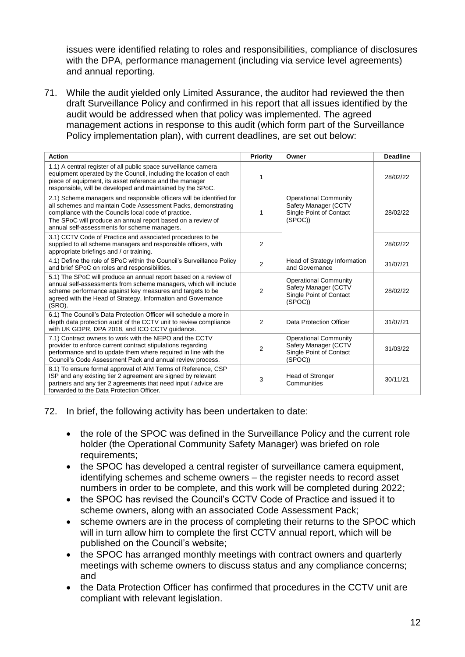issues were identified relating to roles and responsibilities, compliance of disclosures with the DPA, performance management (including via service level agreements) and annual reporting.

71. While the audit yielded only Limited Assurance, the auditor had reviewed the then draft Surveillance Policy and confirmed in his report that all issues identified by the audit would be addressed when that policy was implemented. The agreed management actions in response to this audit (which form part of the Surveillance Policy implementation plan), with current deadlines, are set out below:

| <b>Action</b>                                                                                                                                                                                                                                                                                                | Priority       | Owner                                                                                      | <b>Deadline</b> |
|--------------------------------------------------------------------------------------------------------------------------------------------------------------------------------------------------------------------------------------------------------------------------------------------------------------|----------------|--------------------------------------------------------------------------------------------|-----------------|
| 1.1) A central register of all public space surveillance camera<br>equipment operated by the Council, including the location of each<br>piece of equipment, its asset reference and the manager<br>responsible, will be developed and maintained by the SPoC.                                                |                |                                                                                            | 28/02/22        |
| 2.1) Scheme managers and responsible officers will be identified for<br>all schemes and maintain Code Assessment Packs, demonstrating<br>compliance with the Councils local code of practice.<br>The SPoC will produce an annual report based on a review of<br>annual self-assessments for scheme managers. | 1              | <b>Operational Community</b><br>Safety Manager (CCTV<br>Single Point of Contact<br>(SPOC)) | 28/02/22        |
| 3.1) CCTV Code of Practice and associated procedures to be<br>supplied to all scheme managers and responsible officers, with<br>appropriate briefings and / or training.                                                                                                                                     | $\overline{2}$ |                                                                                            | 28/02/22        |
| 4.1) Define the role of SPoC within the Council's Surveillance Policy<br>and brief SPoC on roles and responsibilities.                                                                                                                                                                                       | $\overline{2}$ | Head of Strategy Information<br>and Governance                                             | 31/07/21        |
| 5.1) The SPoC will produce an annual report based on a review of<br>annual self-assessments from scheme managers, which will include<br>scheme performance against key measures and targets to be<br>agreed with the Head of Strategy, Information and Governance<br>(SRO).                                  | $\overline{2}$ | <b>Operational Community</b><br>Safety Manager (CCTV<br>Single Point of Contact<br>(SPOC)) | 28/02/22        |
| 6.1) The Council's Data Protection Officer will schedule a more in<br>depth data protection audit of the CCTV unit to review compliance<br>with UK GDPR, DPA 2018, and ICO CCTV guidance.                                                                                                                    | 2              | Data Protection Officer                                                                    | 31/07/21        |
| 7.1) Contract owners to work with the NEPO and the CCTV<br>provider to enforce current contract stipulations regarding<br>performance and to update them where required in line with the<br>Council's Code Assessment Pack and annual review process.                                                        | $\overline{2}$ | <b>Operational Community</b><br>Safety Manager (CCTV<br>Single Point of Contact<br>(SPOC)) | 31/03/22        |
| 8.1) To ensure formal approval of AIM Terms of Reference, CSP<br>ISP and any existing tier 2 agreement are signed by relevant<br>partners and any tier 2 agreements that need input / advice are<br>forwarded to the Data Protection Officer.                                                                | 3              | Head of Stronger<br>Communities                                                            | 30/11/21        |

72. In brief, the following activity has been undertaken to date:

- the role of the SPOC was defined in the Surveillance Policy and the current role holder (the Operational Community Safety Manager) was briefed on role requirements;
- the SPOC has developed a central register of surveillance camera equipment, identifying schemes and scheme owners – the register needs to record asset numbers in order to be complete, and this work will be completed during 2022;
- the SPOC has revised the Council's CCTV Code of Practice and issued it to scheme owners, along with an associated Code Assessment Pack;
- scheme owners are in the process of completing their returns to the SPOC which will in turn allow him to complete the first CCTV annual report, which will be published on the Council's website;
- the SPOC has arranged monthly meetings with contract owners and quarterly meetings with scheme owners to discuss status and any compliance concerns; and
- the Data Protection Officer has confirmed that procedures in the CCTV unit are compliant with relevant legislation.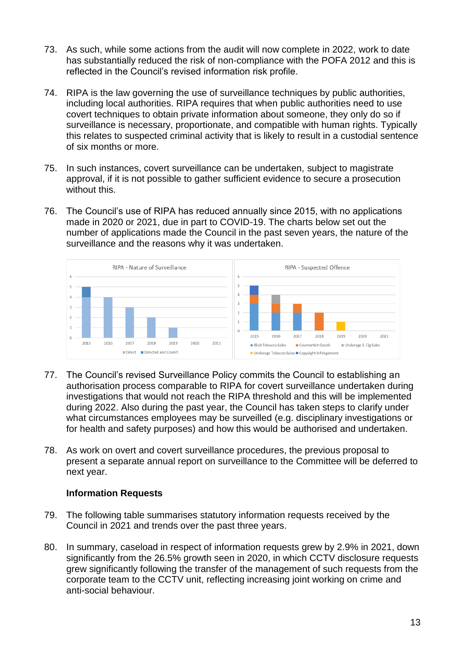- 73. As such, while some actions from the audit will now complete in 2022, work to date has substantially reduced the risk of non-compliance with the POFA 2012 and this is reflected in the Council's revised information risk profile.
- 74. RIPA is the law governing the use of surveillance techniques by public authorities, including local authorities. RIPA requires that when public authorities need to use covert techniques to obtain private information about someone, they only do so if surveillance is necessary, proportionate, and compatible with human rights. Typically this relates to suspected criminal activity that is likely to result in a custodial sentence of six months or more.
- 75. In such instances, covert surveillance can be undertaken, subject to magistrate approval, if it is not possible to gather sufficient evidence to secure a prosecution without this.
- 76. The Council's use of RIPA has reduced annually since 2015, with no applications made in 2020 or 2021, due in part to COVID-19. The charts below set out the number of applications made the Council in the past seven years, the nature of the surveillance and the reasons why it was undertaken.



- 77. The Council's revised Surveillance Policy commits the Council to establishing an authorisation process comparable to RIPA for covert surveillance undertaken during investigations that would not reach the RIPA threshold and this will be implemented during 2022. Also during the past year, the Council has taken steps to clarify under what circumstances employees may be surveilled (e.g. disciplinary investigations or for health and safety purposes) and how this would be authorised and undertaken.
- 78. As work on overt and covert surveillance procedures, the previous proposal to present a separate annual report on surveillance to the Committee will be deferred to next year.

#### **Information Requests**

- 79. The following table summarises statutory information requests received by the Council in 2021 and trends over the past three years.
- 80. In summary, caseload in respect of information requests grew by 2.9% in 2021, down significantly from the 26.5% growth seen in 2020, in which CCTV disclosure requests grew significantly following the transfer of the management of such requests from the corporate team to the CCTV unit, reflecting increasing joint working on crime and anti-social behaviour.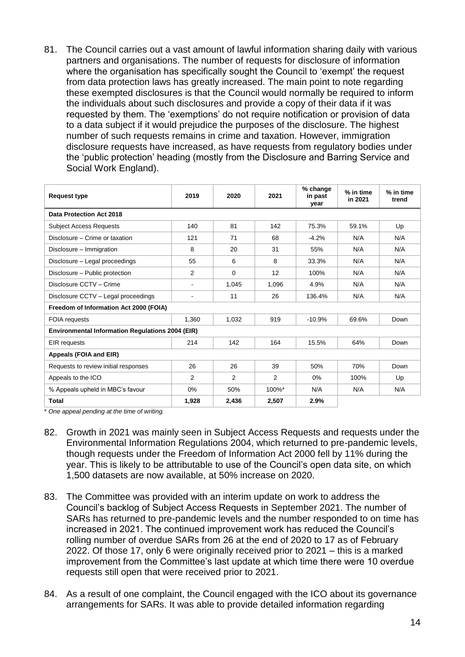81. The Council carries out a vast amount of lawful information sharing daily with various partners and organisations. The number of requests for disclosure of information where the organisation has specifically sought the Council to 'exempt' the request from data protection laws has greatly increased. The main point to note regarding these exempted disclosures is that the Council would normally be required to inform the individuals about such disclosures and provide a copy of their data if it was requested by them. The 'exemptions' do not require notification or provision of data to a data subject if it would prejudice the purposes of the disclosure. The highest number of such requests remains in crime and taxation. However, immigration disclosure requests have increased, as have requests from regulatory bodies under the 'public protection' heading (mostly from the Disclosure and Barring Service and Social Work England).

| <b>Request type</b>                                     | 2019                         | 2020     | 2021           | % change<br>in past<br>year | % in time<br>in 2021 | % in time<br>trend |  |  |
|---------------------------------------------------------|------------------------------|----------|----------------|-----------------------------|----------------------|--------------------|--|--|
| Data Protection Act 2018                                |                              |          |                |                             |                      |                    |  |  |
| <b>Subject Access Requests</b>                          | 140                          | 81       | 142            | 75.3%                       | 59.1%                | Up                 |  |  |
| Disclosure - Crime or taxation                          | 121                          | 71       | 68             | $-4.2%$                     | N/A                  | N/A                |  |  |
| Disclosure - Immigration                                | 8                            | 20       | 31             | 55%                         | N/A                  | N/A                |  |  |
| Disclosure - Legal proceedings                          | 55                           | 6        | 8              | 33.3%                       | N/A                  | N/A                |  |  |
| Disclosure - Public protection                          | 2                            | $\Omega$ | 12             | 100%                        | N/A                  | N/A                |  |  |
| Disclosure CCTV - Crime                                 | $\overline{\phantom{0}}$     | 1,045    | 1,096          | 4.9%                        | N/A                  | N/A                |  |  |
| Disclosure CCTV - Legal proceedings                     | $\qquad \qquad \blacksquare$ | 11       | 26             | 136.4%                      | N/A                  | N/A                |  |  |
| Freedom of Information Act 2000 (FOIA)                  |                              |          |                |                             |                      |                    |  |  |
| <b>FOIA</b> requests                                    | 1,360                        | 1,032    | 919            | $-10.9%$                    | 69.6%                | Down               |  |  |
| <b>Environmental Information Regulations 2004 (EIR)</b> |                              |          |                |                             |                      |                    |  |  |
| <b>EIR</b> requests                                     | 214                          | 142      | 164            | 15.5%                       | 64%                  | Down               |  |  |
| Appeals (FOIA and EIR)                                  |                              |          |                |                             |                      |                    |  |  |
| Requests to review initial responses                    | 26                           | 26       | 39             | 50%                         | 70%                  | Down               |  |  |
| Appeals to the ICO                                      | 2                            | 2        | $\overline{2}$ | 0%                          | 100%                 | Up                 |  |  |
| % Appeals upheld in MBC's favour                        | $0\%$                        | 50%      | 100%*          | N/A                         | N/A                  | N/A                |  |  |
| <b>Total</b>                                            | 1,928                        | 2,436    | 2,507          | 2.9%                        |                      |                    |  |  |

\* *One appeal pending at the time of writing.*

- 82. Growth in 2021 was mainly seen in Subject Access Requests and requests under the Environmental Information Regulations 2004, which returned to pre-pandemic levels, though requests under the Freedom of Information Act 2000 fell by 11% during the year. This is likely to be attributable to use of the Council's open data site, on which 1,500 datasets are now available, at 50% increase on 2020.
- 83. The Committee was provided with an interim update on work to address the Council's backlog of Subject Access Requests in September 2021. The number of SARs has returned to pre-pandemic levels and the number responded to on time has increased in 2021. The continued improvement work has reduced the Council's rolling number of overdue SARs from 26 at the end of 2020 to 17 as of February 2022. Of those 17, only 6 were originally received prior to 2021 – this is a marked improvement from the Committee's last update at which time there were 10 overdue requests still open that were received prior to 2021.
- 84. As a result of one complaint, the Council engaged with the ICO about its governance arrangements for SARs. It was able to provide detailed information regarding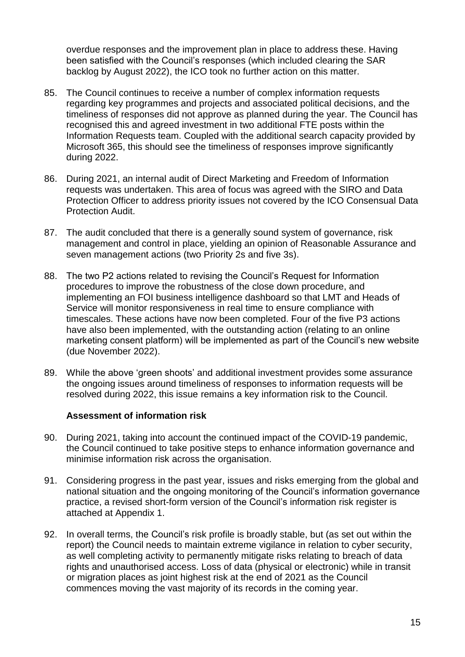overdue responses and the improvement plan in place to address these. Having been satisfied with the Council's responses (which included clearing the SAR backlog by August 2022), the ICO took no further action on this matter.

- 85. The Council continues to receive a number of complex information requests regarding key programmes and projects and associated political decisions, and the timeliness of responses did not approve as planned during the year. The Council has recognised this and agreed investment in two additional FTE posts within the Information Requests team. Coupled with the additional search capacity provided by Microsoft 365, this should see the timeliness of responses improve significantly during 2022.
- 86. During 2021, an internal audit of Direct Marketing and Freedom of Information requests was undertaken. This area of focus was agreed with the SIRO and Data Protection Officer to address priority issues not covered by the ICO Consensual Data Protection Audit.
- 87. The audit concluded that there is a generally sound system of governance, risk management and control in place, yielding an opinion of Reasonable Assurance and seven management actions (two Priority 2s and five 3s).
- 88. The two P2 actions related to revising the Council's Request for Information procedures to improve the robustness of the close down procedure, and implementing an FOI business intelligence dashboard so that LMT and Heads of Service will monitor responsiveness in real time to ensure compliance with timescales. These actions have now been completed. Four of the five P3 actions have also been implemented, with the outstanding action (relating to an online marketing consent platform) will be implemented as part of the Council's new website (due November 2022).
- 89. While the above 'green shoots' and additional investment provides some assurance the ongoing issues around timeliness of responses to information requests will be resolved during 2022, this issue remains a key information risk to the Council.

#### **Assessment of information risk**

- 90. During 2021, taking into account the continued impact of the COVID-19 pandemic, the Council continued to take positive steps to enhance information governance and minimise information risk across the organisation.
- 91. Considering progress in the past year, issues and risks emerging from the global and national situation and the ongoing monitoring of the Council's information governance practice, a revised short-form version of the Council's information risk register is attached at Appendix 1.
- 92. In overall terms, the Council's risk profile is broadly stable, but (as set out within the report) the Council needs to maintain extreme vigilance in relation to cyber security, as well completing activity to permanently mitigate risks relating to breach of data rights and unauthorised access. Loss of data (physical or electronic) while in transit or migration places as joint highest risk at the end of 2021 as the Council commences moving the vast majority of its records in the coming year.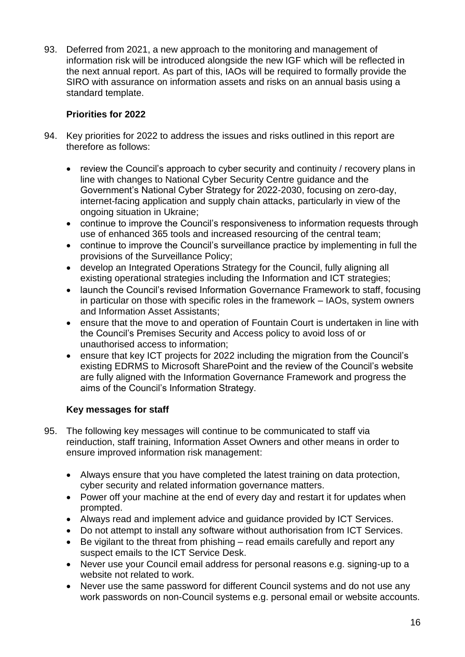93. Deferred from 2021, a new approach to the monitoring and management of information risk will be introduced alongside the new IGF which will be reflected in the next annual report. As part of this, IAOs will be required to formally provide the SIRO with assurance on information assets and risks on an annual basis using a standard template.

### **Priorities for 2022**

- 94. Key priorities for 2022 to address the issues and risks outlined in this report are therefore as follows:
	- review the Council's approach to cyber security and continuity / recovery plans in line with changes to National Cyber Security Centre guidance and the Government's National Cyber Strategy for 2022-2030, focusing on zero-day, internet-facing application and supply chain attacks, particularly in view of the ongoing situation in Ukraine;
	- continue to improve the Council's responsiveness to information requests through use of enhanced 365 tools and increased resourcing of the central team;
	- continue to improve the Council's surveillance practice by implementing in full the provisions of the Surveillance Policy;
	- develop an Integrated Operations Strategy for the Council, fully aligning all existing operational strategies including the Information and ICT strategies;
	- launch the Council's revised Information Governance Framework to staff, focusing in particular on those with specific roles in the framework – IAOs, system owners and Information Asset Assistants;
	- ensure that the move to and operation of Fountain Court is undertaken in line with the Council's Premises Security and Access policy to avoid loss of or unauthorised access to information;
	- ensure that key ICT projects for 2022 including the migration from the Council's existing EDRMS to Microsoft SharePoint and the review of the Council's website are fully aligned with the Information Governance Framework and progress the aims of the Council's Information Strategy.

### **Key messages for staff**

- 95. The following key messages will continue to be communicated to staff via reinduction, staff training, Information Asset Owners and other means in order to ensure improved information risk management:
	- Always ensure that you have completed the latest training on data protection, cyber security and related information governance matters.
	- Power off your machine at the end of every day and restart it for updates when prompted.
	- Always read and implement advice and guidance provided by ICT Services.
	- Do not attempt to install any software without authorisation from ICT Services.
	- Be vigilant to the threat from phishing read emails carefully and report any suspect emails to the ICT Service Desk.
	- Never use your Council email address for personal reasons e.g. signing-up to a website not related to work.
	- Never use the same password for different Council systems and do not use any work passwords on non-Council systems e.g. personal email or website accounts.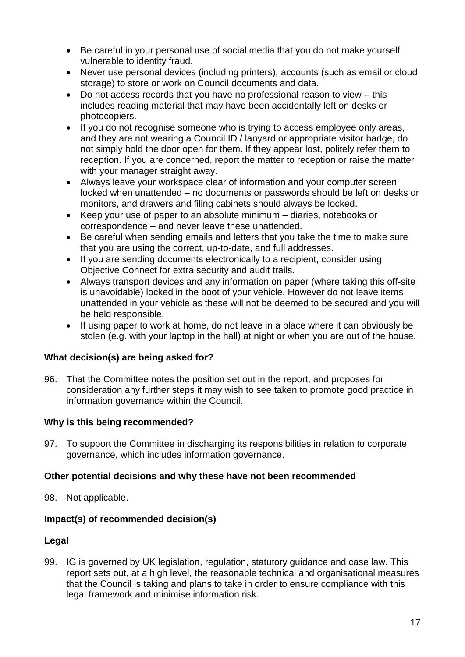- Be careful in your personal use of social media that you do not make yourself vulnerable to identity fraud.
- Never use personal devices (including printers), accounts (such as email or cloud storage) to store or work on Council documents and data.
- Do not access records that you have no professional reason to view this includes reading material that may have been accidentally left on desks or photocopiers.
- If you do not recognise someone who is trying to access employee only areas, and they are not wearing a Council ID / lanyard or appropriate visitor badge, do not simply hold the door open for them. If they appear lost, politely refer them to reception. If you are concerned, report the matter to reception or raise the matter with your manager straight away.
- Always leave your workspace clear of information and your computer screen locked when unattended – no documents or passwords should be left on desks or monitors, and drawers and filing cabinets should always be locked.
- Keep your use of paper to an absolute minimum diaries, notebooks or correspondence – and never leave these unattended.
- Be careful when sending emails and letters that you take the time to make sure that you are using the correct, up-to-date, and full addresses.
- If you are sending documents electronically to a recipient, consider using Objective Connect for extra security and audit trails.
- Always transport devices and any information on paper (where taking this off-site is unavoidable) locked in the boot of your vehicle. However do not leave items unattended in your vehicle as these will not be deemed to be secured and you will be held responsible.
- If using paper to work at home, do not leave in a place where it can obviously be stolen (e.g. with your laptop in the hall) at night or when you are out of the house.

### **What decision(s) are being asked for?**

96. That the Committee notes the position set out in the report, and proposes for consideration any further steps it may wish to see taken to promote good practice in information governance within the Council.

### **Why is this being recommended?**

97. To support the Committee in discharging its responsibilities in relation to corporate governance, which includes information governance.

### **Other potential decisions and why these have not been recommended**

98. Not applicable.

### **Impact(s) of recommended decision(s)**

### **Legal**

99. IG is governed by UK legislation, regulation, statutory guidance and case law. This report sets out, at a high level, the reasonable technical and organisational measures that the Council is taking and plans to take in order to ensure compliance with this legal framework and minimise information risk.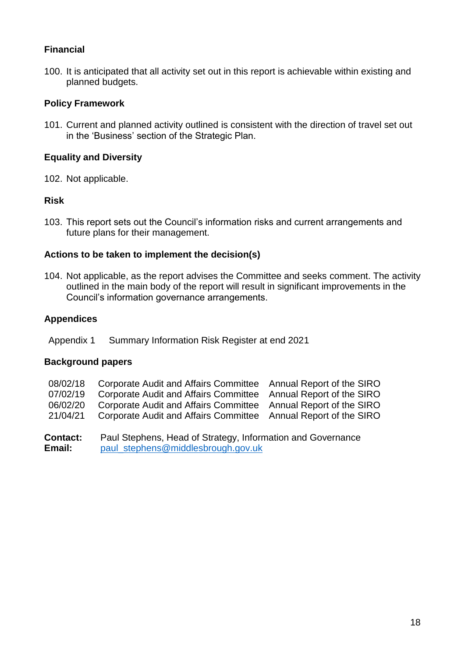### **Financial**

100. It is anticipated that all activity set out in this report is achievable within existing and planned budgets.

### **Policy Framework**

101. Current and planned activity outlined is consistent with the direction of travel set out in the 'Business' section of the Strategic Plan.

### **Equality and Diversity**

102. Not applicable.

### **Risk**

103. This report sets out the Council's information risks and current arrangements and future plans for their management.

### **Actions to be taken to implement the decision(s)**

104. Not applicable, as the report advises the Committee and seeks comment. The activity outlined in the main body of the report will result in significant improvements in the Council's information governance arrangements.

#### **Appendices**

Appendix 1 Summary Information Risk Register at end 2021

### **Background papers**

| <b>Contact:</b><br><b>E</b> 22 2:11 | Paul Stephens, Head of Strategy, Information and Governance<br>noul otonhono@middloobsquah gouul                                   |  |
|-------------------------------------|------------------------------------------------------------------------------------------------------------------------------------|--|
| 06/02/20<br>21/04/21                | Corporate Audit and Affairs Committee Annual Report of the SIRO<br>Corporate Audit and Affairs Committee Annual Report of the SIRO |  |
| 07/02/19                            | Corporate Audit and Affairs Committee Annual Report of the SIRO                                                                    |  |
| 08/02/18                            | Corporate Audit and Affairs Committee Annual Report of the SIRO                                                                    |  |

**Email: [paul\\_stephens@middlesbrough.gov.uk](mailto:paul_stephens@middlesbrough.gov.uk)**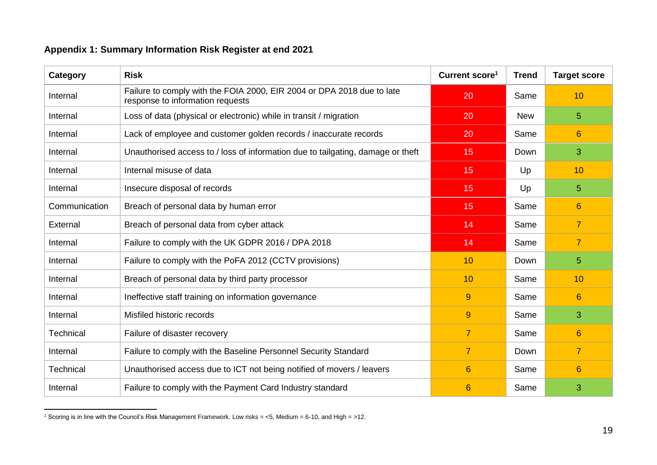## **Appendix 1: Summary Information Risk Register at end 2021**

| Category         | <b>Risk</b>                                                                                                | Current score <sup>1</sup> | <b>Trend</b> | <b>Target score</b> |
|------------------|------------------------------------------------------------------------------------------------------------|----------------------------|--------------|---------------------|
| Internal         | Failure to comply with the FOIA 2000, EIR 2004 or DPA 2018 due to late<br>response to information requests | 20                         | Same         | 10                  |
| Internal         | Loss of data (physical or electronic) while in transit / migration                                         | 20                         | <b>New</b>   | 5                   |
| Internal         | Lack of employee and customer golden records / inaccurate records                                          | 20                         | Same         | 6                   |
| Internal         | Unauthorised access to / loss of information due to tailgating, damage or theft                            | 15                         | Down         | 3                   |
| Internal         | Internal misuse of data                                                                                    | 15                         | Up           | 10                  |
| Internal         | Insecure disposal of records                                                                               | 15                         | Up           | 5                   |
| Communication    | Breach of personal data by human error                                                                     | 15                         | Same         | $6\phantom{1}6$     |
| External         | Breach of personal data from cyber attack                                                                  | 14                         | Same         | $\overline{7}$      |
| Internal         | Failure to comply with the UK GDPR 2016 / DPA 2018                                                         | 14                         | Same         | $\overline{7}$      |
| Internal         | Failure to comply with the PoFA 2012 (CCTV provisions)                                                     | 10                         | Down         | 5                   |
| Internal         | Breach of personal data by third party processor                                                           | 10                         | Same         | 10                  |
| Internal         | Ineffective staff training on information governance                                                       | $\overline{9}$             | Same         | 6                   |
| Internal         | Misfiled historic records                                                                                  | $\overline{9}$             | Same         | 3                   |
| <b>Technical</b> | Failure of disaster recovery                                                                               | $\overline{7}$             | Same         | $6\phantom{1}6$     |
| Internal         | Failure to comply with the Baseline Personnel Security Standard                                            | $\overline{7}$             | Down         | $\overline{7}$      |
| <b>Technical</b> | Unauthorised access due to ICT not being notified of movers / leavers                                      | 6                          | Same         | $6\phantom{1}6$     |
| Internal         | Failure to comply with the Payment Card Industry standard                                                  | 6                          | Same         | 3                   |

 $\overline{a}$ <sup>1</sup> Scoring is in line with the Council's Risk Management Framework. Low risks = <5, Medium = 6-10, and High = >12.